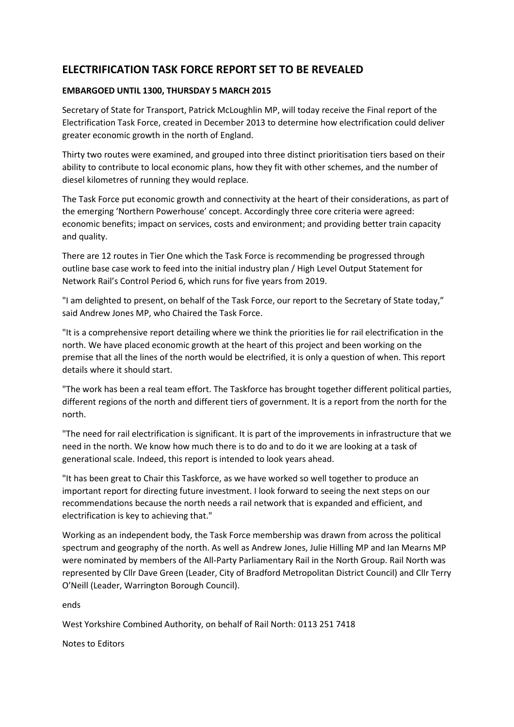## **ELECTRIFICATION TASK FORCE REPORT SET TO BE REVEALED**

## **EMBARGOED UNTIL 1300, THURSDAY 5 MARCH 2015**

Secretary of State for Transport, Patrick McLoughlin MP, will today receive the Final report of the Electrification Task Force, created in December 2013 to determine how electrification could deliver greater economic growth in the north of England.

Thirty two routes were examined, and grouped into three distinct prioritisation tiers based on their ability to contribute to local economic plans, how they fit with other schemes, and the number of diesel kilometres of running they would replace.

The Task Force put economic growth and connectivity at the heart of their considerations, as part of the emerging 'Northern Powerhouse' concept. Accordingly three core criteria were agreed: economic benefits; impact on services, costs and environment; and providing better train capacity and quality.

There are 12 routes in Tier One which the Task Force is recommending be progressed through outline base case work to feed into the initial industry plan / High Level Output Statement for Network Rail's Control Period 6, which runs for five years from 2019.

"I am delighted to present, on behalf of the Task Force, our report to the Secretary of State today," said Andrew Jones MP, who Chaired the Task Force.

"It is a comprehensive report detailing where we think the priorities lie for rail electrification in the north. We have placed economic growth at the heart of this project and been working on the premise that all the lines of the north would be electrified, it is only a question of when. This report details where it should start.

"The work has been a real team effort. The Taskforce has brought together different political parties, different regions of the north and different tiers of government. It is a report from the north for the north.

"The need for rail electrification is significant. It is part of the improvements in infrastructure that we need in the north. We know how much there is to do and to do it we are looking at a task of generational scale. Indeed, this report is intended to look years ahead.

"It has been great to Chair this Taskforce, as we have worked so well together to produce an important report for directing future investment. I look forward to seeing the next steps on our recommendations because the north needs a rail network that is expanded and efficient, and electrification is key to achieving that."

Working as an independent body, the Task Force membership was drawn from across the political spectrum and geography of the north. As well as Andrew Jones, Julie Hilling MP and Ian Mearns MP were nominated by members of the All-Party Parliamentary Rail in the North Group. Rail North was represented by Cllr Dave Green (Leader, City of Bradford Metropolitan District Council) and Cllr Terry O'Neill (Leader, Warrington Borough Council).

ends

West Yorkshire Combined Authority, on behalf of Rail North: 0113 251 7418

Notes to Editors